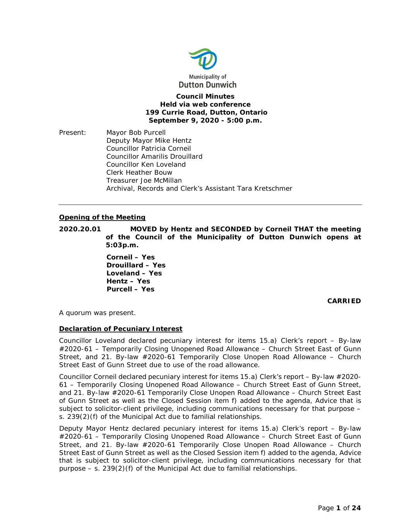

**Council Minutes Held via web conference 199 Currie Road, Dutton, Ontario September 9, 2020 - 5:00 p.m.**

Present: Mayor Bob Purcell Deputy Mayor Mike Hentz Councillor Patricia Corneil Councillor Amarilis Drouillard Councillor Ken Loveland Clerk Heather Bouw Treasurer Joe McMillan Archival, Records and Clerk's Assistant Tara Kretschmer

## **Opening of the Meeting**

**2020.20.01 MOVED by Hentz and SECONDED by Corneil THAT the meeting of the Council of the Municipality of Dutton Dunwich opens at 5:03p.m.**

> **Corneil – Yes Drouillard – Yes Loveland – Yes Hentz – Yes Purcell – Yes**

> > **CARRIED**

A quorum was present.

## **Declaration of Pecuniary Interest**

Councillor Loveland declared pecuniary interest for items 15.a) Clerk's report – By-law #2020-61 – Temporarily Closing Unopened Road Allowance – Church Street East of Gunn Street, and 21. By-law #2020-61 Temporarily Close Unopen Road Allowance – Church Street East of Gunn Street due to use of the road allowance.

Councillor Corneil declared pecuniary interest for items 15.a) Clerk's report – By-law #2020- 61 – Temporarily Closing Unopened Road Allowance – Church Street East of Gunn Street, and 21. By-law #2020-61 Temporarily Close Unopen Road Allowance – Church Street East of Gunn Street as well as the Closed Session item f) added to the agenda, Advice that is subject to solicitor-client privilege, including communications necessary for that purpose – s. 239(2)(f) of the Municipal Act due to familial relationships.

Deputy Mayor Hentz declared pecuniary interest for items 15.a) Clerk's report – By-law #2020-61 – Temporarily Closing Unopened Road Allowance – Church Street East of Gunn Street, and 21. By-law #2020-61 Temporarily Close Unopen Road Allowance – Church Street East of Gunn Street as well as the Closed Session item f) added to the agenda, Advice that is subject to solicitor-client privilege, including communications necessary for that purpose  $-$  s. 239(2)(f) of the Municipal Act due to familial relationships.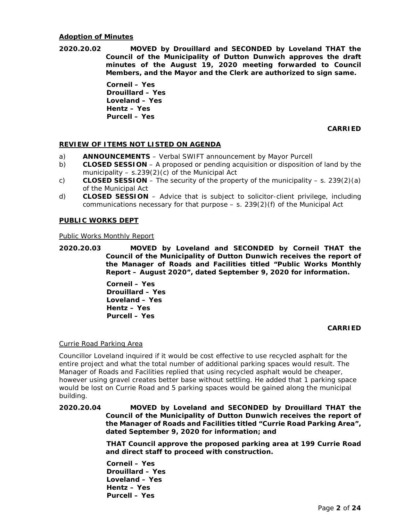### **Adoption of Minutes**

**2020.20.02 MOVED by Drouillard and SECONDED by Loveland THAT the Council of the Municipality of Dutton Dunwich approves the draft minutes of the August 19, 2020 meeting forwarded to Council Members, and the Mayor and the Clerk are authorized to sign same.**

> **Corneil – Yes Drouillard – Yes Loveland – Yes Hentz – Yes Purcell – Yes**

> > **CARRIED**

## **REVIEW OF ITEMS NOT LISTED ON AGENDA**

- a) **ANNOUNCEMENTS** Verbal SWIFT announcement by Mayor Purcell
- b) **CLOSED SESSION** A proposed or pending acquisition or disposition of land by the municipality  $- s.239(2)(c)$  of the Municipal Act
- c) **CLOSED SESSION** The security of the property of the municipality s. 239(2)(a) of the Municipal Act
- d) **CLOSED SESSION** Advice that is subject to solicitor-client privilege, including communications necessary for that purpose  $- s$ . 239(2)(f) of the Municipal Act

## **PUBLIC WORKS DEPT**

## Public Works Monthly Report

**2020.20.03 MOVED by Loveland and SECONDED by Corneil THAT the Council of the Municipality of Dutton Dunwich receives the report of the Manager of Roads and Facilities titled "Public Works Monthly Report – August 2020", dated September 9, 2020 for information.**

> **Corneil – Yes Drouillard – Yes Loveland – Yes Hentz – Yes Purcell – Yes**

## **CARRIED**

## Currie Road Parking Area

Councillor Loveland inquired if it would be cost effective to use recycled asphalt for the entire project and what the total number of additional parking spaces would result. The Manager of Roads and Facilities replied that using recycled asphalt would be cheaper, however using gravel creates better base without settling. He added that 1 parking space would be lost on Currie Road and 5 parking spaces would be gained along the municipal building.

## **2020.20.04 MOVED by Loveland and SECONDED by Drouillard THAT the Council of the Municipality of Dutton Dunwich receives the report of the Manager of Roads and Facilities titled "Currie Road Parking Area", dated September 9, 2020 for information; and**

**THAT Council approve the proposed parking area at 199 Currie Road and direct staff to proceed with construction.** 

**Corneil – Yes Drouillard – Yes Loveland – Yes Hentz – Yes Purcell – Yes**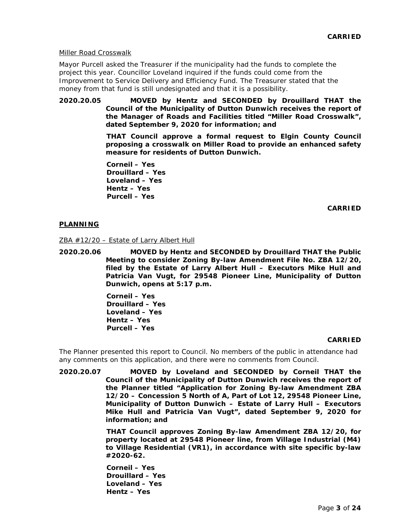### Miller Road Crosswalk

Mayor Purcell asked the Treasurer if the municipality had the funds to complete the project this year. Councillor Loveland inquired if the funds could come from the Improvement to Service Delivery and Efficiency Fund. The Treasurer stated that the money from that fund is still undesignated and that it is a possibility.

**2020.20.05 MOVED by Hentz and SECONDED by Drouillard THAT the Council of the Municipality of Dutton Dunwich receives the report of the Manager of Roads and Facilities titled "Miller Road Crosswalk", dated September 9, 2020 for information; and**

> **THAT Council approve a formal request to Elgin County Council proposing a crosswalk on Miller Road to provide an enhanced safety measure for residents of Dutton Dunwich.**

**Corneil – Yes Drouillard – Yes Loveland – Yes Hentz – Yes Purcell – Yes** 

**CARRIED**

## **PLANNING**

ZBA #12/20 – Estate of Larry Albert Hull

**2020.20.06 MOVED by Hentz and SECONDED by Drouillard THAT the Public Meeting to consider Zoning By-law Amendment File No. ZBA 12/20, filed by the Estate of Larry Albert Hull – Executors Mike Hull and Patricia Van Vugt, for 29548 Pioneer Line, Municipality of Dutton Dunwich, opens at 5:17 p.m.**

> **Corneil – Yes Drouillard – Yes Loveland – Yes Hentz – Yes Purcell – Yes**

## **CARRIED**

The Planner presented this report to Council. No members of the public in attendance had any comments on this application, and there were no comments from Council.

**2020.20.07 MOVED by Loveland and SECONDED by Corneil THAT the Council of the Municipality of Dutton Dunwich receives the report of the Planner titled "Application for Zoning By-law Amendment ZBA 12/20 – Concession 5 North of A, Part of Lot 12, 29548 Pioneer Line, Municipality of Dutton Dunwich – Estate of Larry Hull – Executors Mike Hull and Patricia Van Vugt", dated September 9, 2020 for information; and**

> **THAT Council approves Zoning By-law Amendment ZBA 12/20, for property located at 29548 Pioneer line, from Village Industrial (M4) to Village Residential (VR1), in accordance with site specific by-law #2020-62.**

**Corneil – Yes Drouillard – Yes Loveland – Yes Hentz – Yes**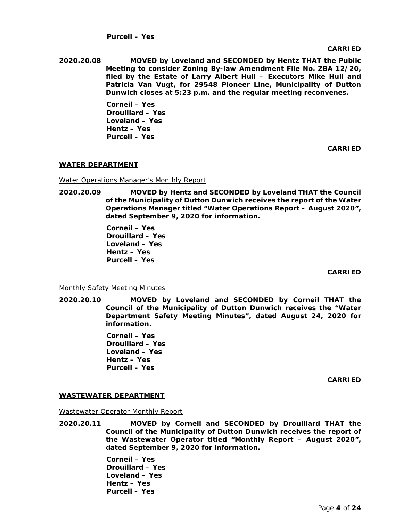## **Purcell – Yes**

#### **CARRIED**

**2020.20.08 MOVED by Loveland and SECONDED by Hentz THAT the Public Meeting to consider Zoning By-law Amendment File No. ZBA 12/20, filed by the Estate of Larry Albert Hull – Executors Mike Hull and Patricia Van Vugt, for 29548 Pioneer Line, Municipality of Dutton Dunwich closes at 5:23 p.m. and the regular meeting reconvenes.**

> **Corneil – Yes Drouillard – Yes Loveland – Yes Hentz – Yes Purcell – Yes**

> > **CARRIED**

## **WATER DEPARTMENT**

Water Operations Manager's Monthly Report

**2020.20.09 MOVED by Hentz and SECONDED by Loveland THAT the Council of the Municipality of Dutton Dunwich receives the report of the Water Operations Manager titled "Water Operations Report – August 2020", dated September 9, 2020 for information.**

> **Corneil – Yes Drouillard – Yes Loveland – Yes Hentz – Yes Purcell – Yes**

> > **CARRIED**

Monthly Safety Meeting Minutes

**2020.20.10 MOVED by Loveland and SECONDED by Corneil THAT the Council of the Municipality of Dutton Dunwich receives the "Water Department Safety Meeting Minutes", dated August 24, 2020 for information.**

> **Corneil – Yes Drouillard – Yes Loveland – Yes Hentz – Yes Purcell – Yes**

> > **CARRIED**

## **WASTEWATER DEPARTMENT**

Wastewater Operator Monthly Report

**2020.20.11 MOVED by Corneil and SECONDED by Drouillard THAT the Council of the Municipality of Dutton Dunwich receives the report of the Wastewater Operator titled "Monthly Report – August 2020", dated September 9, 2020 for information.**

> **Corneil – Yes Drouillard – Yes Loveland – Yes Hentz – Yes Purcell – Yes**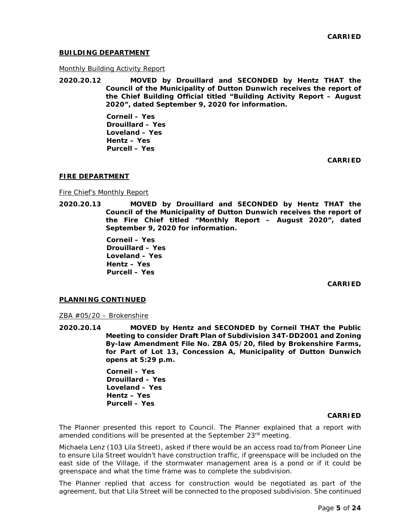## **BUILDING DEPARTMENT**

### Monthly Building Activity Report

**2020.20.12 MOVED by Drouillard and SECONDED by Hentz THAT the Council of the Municipality of Dutton Dunwich receives the report of the Chief Building Official titled "Building Activity Report – August 2020", dated September 9, 2020 for information.**

> **Corneil – Yes Drouillard – Yes Loveland – Yes Hentz – Yes Purcell – Yes**

> > **CARRIED**

### **FIRE DEPARTMENT**

Fire Chief's Monthly Report

**2020.20.13 MOVED by Drouillard and SECONDED by Hentz THAT the Council of the Municipality of Dutton Dunwich receives the report of the Fire Chief titled "Monthly Report – August 2020", dated September 9, 2020 for information.**

> **Corneil – Yes Drouillard – Yes Loveland – Yes Hentz – Yes Purcell – Yes**

> > **CARRIED**

### **PLANNING CONTINUED**

ZBA #05/20 – Brokenshire

**2020.20.14 MOVED by Hentz and SECONDED by Corneil THAT the Public Meeting to consider Draft Plan of Subdivision 34T-DD2001 and Zoning By-law Amendment File No. ZBA 05/20, filed by Brokenshire Farms, for Part of Lot 13, Concession A, Municipality of Dutton Dunwich opens at 5:29 p.m.**

> **Corneil – Yes Drouillard – Yes Loveland – Yes Hentz – Yes Purcell – Yes**

#### **CARRIED**

The Planner presented this report to Council. The Planner explained that a report with amended conditions will be presented at the September 23<sup>rd</sup> meeting.

Michaela Lenz (103 Lila Street), asked if there would be an access road to/from Pioneer Line to ensure Lila Street wouldn't have construction traffic, if greenspace will be included on the east side of the Village, if the stormwater management area is a pond or if it could be greenspace and what the time frame was to complete the subdivision.

The Planner replied that access for construction would be negotiated as part of the agreement, but that Lila Street will be connected to the proposed subdivision. She continued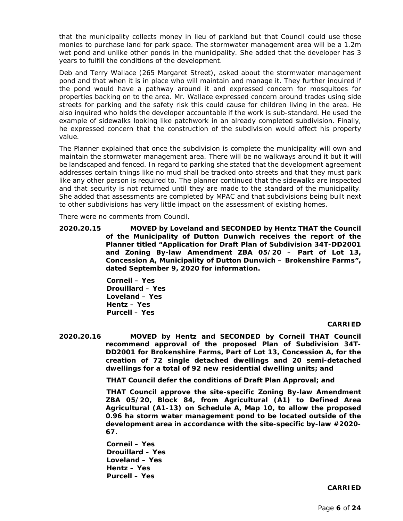that the municipality collects money in lieu of parkland but that Council could use those monies to purchase land for park space. The stormwater management area will be a 1.2m wet pond and unlike other ponds in the municipality. She added that the developer has 3 years to fulfill the conditions of the development.

Deb and Terry Wallace (265 Margaret Street), asked about the stormwater management pond and that when it is in place who will maintain and manage it. They further inquired if the pond would have a pathway around it and expressed concern for mosquitoes for properties backing on to the area. Mr. Wallace expressed concern around trades using side streets for parking and the safety risk this could cause for children living in the area. He also inquired who holds the developer accountable if the work is sub-standard. He used the example of sidewalks looking like patchwork in an already completed subdivision. Finally, he expressed concern that the construction of the subdivision would affect his property value.

The Planner explained that once the subdivision is complete the municipality will own and maintain the stormwater management area. There will be no walkways around it but it will be landscaped and fenced. In regard to parking she stated that the development agreement addresses certain things like no mud shall be tracked onto streets and that they must park like any other person is required to. The planner continued that the sidewalks are inspected and that security is not returned until they are made to the standard of the municipality. She added that assessments are completed by MPAC and that subdivisions being built next to other subdivisions has very little impact on the assessment of existing homes.

There were no comments from Council.

**2020.20.15 MOVED by Loveland and SECONDED by Hentz THAT the Council of the Municipality of Dutton Dunwich receives the report of the Planner titled "Application for Draft Plan of Subdivision 34T-DD2001 and Zoning By-law Amendment ZBA 05/20 – Part of Lot 13, Concession A, Municipality of Dutton Dunwich – Brokenshire Farms", dated September 9, 2020 for information.** 

> **Corneil – Yes Drouillard – Yes Loveland – Yes Hentz – Yes Purcell – Yes**

## **CARRIED**

**2020.20.16 MOVED by Hentz and SECONDED by Corneil THAT Council recommend approval of the proposed Plan of Subdivision 34T-DD2001 for Brokenshire Farms, Part of Lot 13, Concession A, for the creation of 72 single detached dwellings and 20 semi-detached dwellings for a total of 92 new residential dwelling units; and**

**THAT Council defer the conditions of Draft Plan Approval; and**

**THAT Council approve the site-specific Zoning By-law Amendment ZBA 05/20, Block 84, from Agricultural (A1) to Defined Area Agricultural (A1-13) on Schedule A, Map 10, to allow the proposed 0.96 ha storm water management pond to be located outside of the development area in accordance with the site-specific by-law #2020- 67.**

**Corneil – Yes Drouillard – Yes Loveland – Yes Hentz – Yes Purcell – Yes**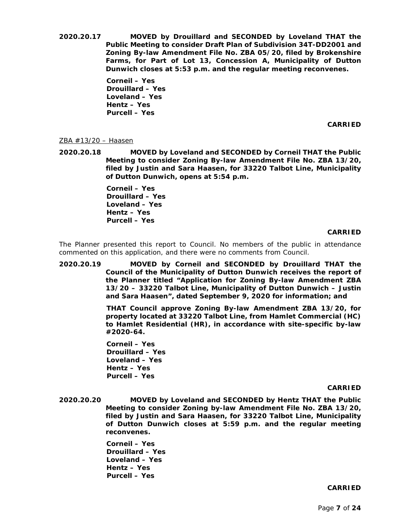**2020.20.17 MOVED by Drouillard and SECONDED by Loveland THAT the Public Meeting to consider Draft Plan of Subdivision 34T-DD2001 and Zoning By-law Amendment File No. ZBA 05/20, filed by Brokenshire Farms, for Part of Lot 13, Concession A, Municipality of Dutton Dunwich closes at 5:53 p.m. and the regular meeting reconvenes.** 

> **Corneil – Yes Drouillard – Yes Loveland – Yes Hentz – Yes Purcell – Yes**

> > **CARRIED**

## ZBA #13/20 – Haasen

**2020.20.18 MOVED by Loveland and SECONDED by Corneil THAT the Public Meeting to consider Zoning By-law Amendment File No. ZBA 13/20, filed by Justin and Sara Haasen, for 33220 Talbot Line, Municipality of Dutton Dunwich, opens at 5:54 p.m.**

> **Corneil – Yes Drouillard – Yes Loveland – Yes Hentz – Yes Purcell – Yes**

## **CARRIED**

The Planner presented this report to Council. No members of the public in attendance commented on this application, and there were no comments from Council.

**2020.20.19 MOVED by Corneil and SECONDED by Drouillard THAT the Council of the Municipality of Dutton Dunwich receives the report of the Planner titled "Application for Zoning By-law Amendment ZBA 13/20 – 33220 Talbot Line, Municipality of Dutton Dunwich – Justin and Sara Haasen", dated September 9, 2020 for information; and** 

> **THAT Council approve Zoning By-law Amendment ZBA 13/20, for property located at 33220 Talbot Line, from Hamlet Commercial (HC) to Hamlet Residential (HR), in accordance with site-specific by-law #2020-64.**

**Corneil – Yes Drouillard – Yes Loveland – Yes Hentz – Yes Purcell – Yes** 

#### **CARRIED**

**2020.20.20 MOVED by Loveland and SECONDED by Hentz THAT the Public Meeting to consider Zoning by-law Amendment File No. ZBA 13/20, filed by Justin and Sara Haasen, for 33220 Talbot Line, Municipality of Dutton Dunwich closes at 5:59 p.m. and the regular meeting reconvenes.**

> **Corneil – Yes Drouillard – Yes Loveland – Yes Hentz – Yes Purcell – Yes**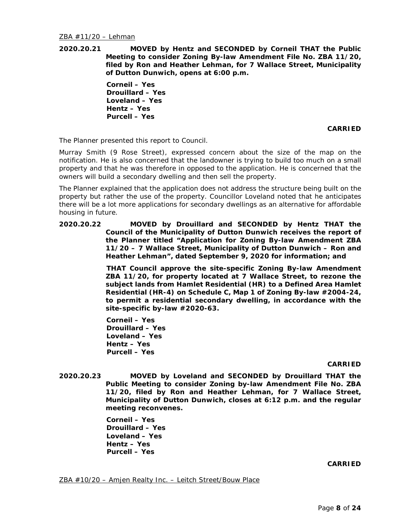**2020.20.21 MOVED by Hentz and SECONDED by Corneil THAT the Public Meeting to consider Zoning By-law Amendment File No. ZBA 11/20, filed by Ron and Heather Lehman, for 7 Wallace Street, Municipality of Dutton Dunwich, opens at 6:00 p.m.**

> **Corneil – Yes Drouillard – Yes Loveland – Yes Hentz – Yes Purcell – Yes**

## **CARRIED**

The Planner presented this report to Council.

Murray Smith (9 Rose Street), expressed concern about the size of the map on the notification. He is also concerned that the landowner is trying to build too much on a small property and that he was therefore in opposed to the application. He is concerned that the owners will build a secondary dwelling and then sell the property.

The Planner explained that the application does not address the structure being built on the property but rather the use of the property. Councillor Loveland noted that he anticipates there will be a lot more applications for secondary dwellings as an alternative for affordable housing in future.

**2020.20.22 MOVED by Drouillard and SECONDED by Hentz THAT the Council of the Municipality of Dutton Dunwich receives the report of the Planner titled "Application for Zoning By-law Amendment ZBA 11/20 – 7 Wallace Street, Municipality of Dutton Dunwich – Ron and Heather Lehman", dated September 9, 2020 for information; and**

> **THAT Council approve the site-specific Zoning By-law Amendment ZBA 11/20, for property located at 7 Wallace Street, to rezone the subject lands from Hamlet Residential (HR) to a Defined Area Hamlet Residential (HR-4) on Schedule C, Map 1 of Zoning By-law #2004-24, to permit a residential secondary dwelling, in accordance with the site-specific by-law #2020-63.**

**Corneil – Yes Drouillard – Yes Loveland – Yes Hentz – Yes Purcell – Yes** 

#### **CARRIED**

**2020.20.23 MOVED by Loveland and SECONDED by Drouillard THAT the Public Meeting to consider Zoning by-law Amendment File No. ZBA 11/20, filed by Ron and Heather Lehman, for 7 Wallace Street, Municipality of Dutton Dunwich, closes at 6:12 p.m. and the regular meeting reconvenes.**

> **Corneil – Yes Drouillard – Yes Loveland – Yes Hentz – Yes Purcell – Yes**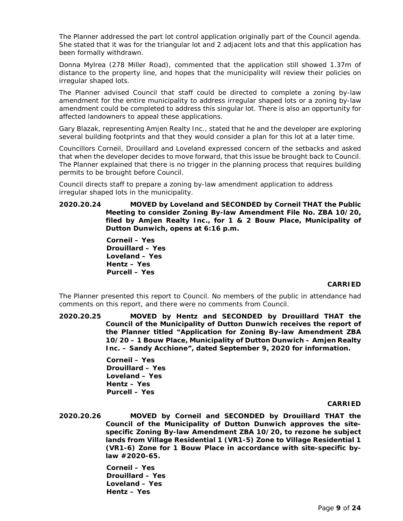The Planner addressed the part lot control application originally part of the Council agenda. She stated that it was for the triangular lot and 2 adjacent lots and that this application has been formally withdrawn.

Donna Mylrea (278 Miller Road), commented that the application still showed 1.37m of distance to the property line, and hopes that the municipality will review their policies on irregular shaped lots.

The Planner advised Council that staff could be directed to complete a zoning by-law amendment for the entire municipality to address irregular shaped lots or a zoning by-law amendment could be completed to address this singular lot. There is also an opportunity for affected landowners to appeal these applications.

Gary Blazak, representing Amjen Realty Inc., stated that he and the developer are exploring several building footprints and that they would consider a plan for this lot at a later time.

Councillors Corneil, Drouillard and Loveland expressed concern of the setbacks and asked that when the developer decides to move forward, that this issue be brought back to Council. The Planner explained that there is no trigger in the planning process that requires building permits to be brought before Council.

Council directs staff to prepare a zoning by-law amendment application to address irregular shaped lots in the municipality.

**2020.20.24 MOVED by Loveland and SECONDED by Corneil THAT the Public Meeting to consider Zoning By-law Amendment File No. ZBA 10/20, filed by Amjen Realty Inc., for 1 & 2 Bouw Place, Municipality of Dutton Dunwich, opens at 6:16 p.m.**

> **Corneil – Yes Drouillard – Yes Loveland – Yes Hentz – Yes Purcell – Yes**

# **CARRIED**

The Planner presented this report to Council. No members of the public in attendance had comments on this report, and there were no comments from Council.

**2020.20.25 MOVED by Hentz and SECONDED by Drouillard THAT the Council of the Municipality of Dutton Dunwich receives the report of the Planner titled "Application for Zoning By-law Amendment ZBA 10/20 – 1 Bouw Place, Municipality of Dutton Dunwich – Amjen Realty Inc. – Sandy Acchione", dated September 9, 2020 for information.** 

> **Corneil – Yes Drouillard – Yes Loveland – Yes Hentz – Yes Purcell – Yes**

## **CARRIED**

**2020.20.26 MOVED by Corneil and SECONDED by Drouillard THAT the Council of the Municipality of Dutton Dunwich approves the sitespecific Zoning By-law Amendment ZBA 10/20, to rezone he subject lands from Village Residential 1 (VR1-5) Zone to Village Residential 1 (VR1-6) Zone for 1 Bouw Place in accordance with site-specific bylaw #2020-65.** 

> **Corneil – Yes Drouillard – Yes Loveland – Yes Hentz – Yes**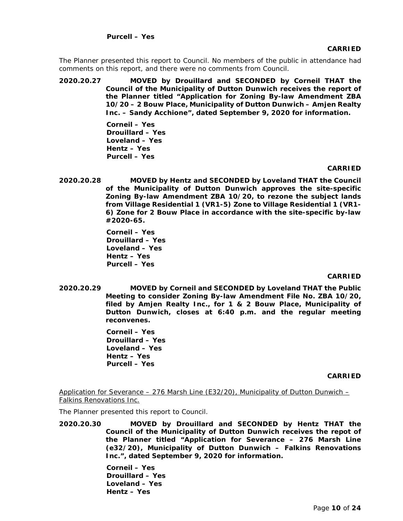The Planner presented this report to Council. No members of the public in attendance had comments on this report, and there were no comments from Council.

**2020.20.27 MOVED by Drouillard and SECONDED by Corneil THAT the Council of the Municipality of Dutton Dunwich receives the report of the Planner titled "Application for Zoning By-law Amendment ZBA 10/20 – 2 Bouw Place, Municipality of Dutton Dunwich – Amjen Realty Inc. – Sandy Acchione", dated September 9, 2020 for information.**

> **Corneil – Yes Drouillard – Yes Loveland – Yes Hentz – Yes Purcell – Yes**

## **CARRIED**

**2020.20.28 MOVED by Hentz and SECONDED by Loveland THAT the Council of the Municipality of Dutton Dunwich approves the site-specific Zoning By-law Amendment ZBA 10/20, to rezone the subject lands from Village Residential 1 (VR1-5) Zone to Village Residential 1 (VR1- 6) Zone for 2 Bouw Place in accordance with the site-specific by-law #2020-65.**

> **Corneil – Yes Drouillard – Yes Loveland – Yes Hentz – Yes Purcell – Yes**

# **CARRIED**

**2020.20.29 MOVED by Corneil and SECONDED by Loveland THAT the Public Meeting to consider Zoning By-law Amendment File No. ZBA 10/20, filed by Amjen Realty Inc., for 1 & 2 Bouw Place, Municipality of Dutton Dunwich, closes at 6:40 p.m. and the regular meeting reconvenes.**

> **Corneil – Yes Drouillard – Yes Loveland – Yes Hentz – Yes Purcell – Yes**

## **CARRIED**

Application for Severance – 276 Marsh Line (E32/20), Municipality of Dutton Dunwich – Falkins Renovations Inc.

The Planner presented this report to Council.

**2020.20.30 MOVED by Drouillard and SECONDED by Hentz THAT the Council of the Municipality of Dutton Dunwich receives the repot of the Planner titled "Application for Severance – 276 Marsh Line (e32/20), Municipality of Dutton Dunwich – Falkins Renovations Inc.", dated September 9, 2020 for information.**

> **Corneil – Yes Drouillard – Yes Loveland – Yes Hentz – Yes**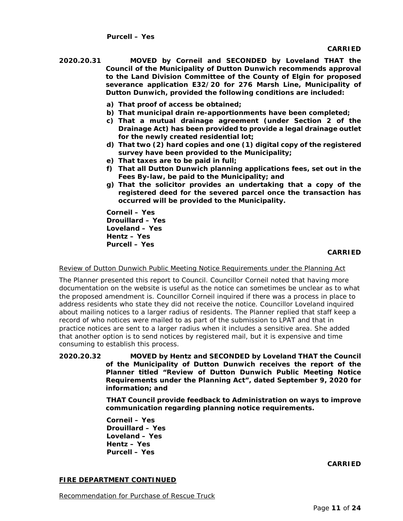- **2020.20.31 MOVED by Corneil and SECONDED by Loveland THAT the Council of the Municipality of Dutton Dunwich recommends approval to the Land Division Committee of the County of Elgin for proposed severance application E32/20 for 276 Marsh Line, Municipality of Dutton Dunwich, provided the following conditions are included:**
	- **a) That proof of access be obtained;**
	- **b) That municipal drain re-apportionments have been completed;**
	- **c) That a mutual drainage agreement (under Section 2 of the Drainage Act) has been provided to provide a legal drainage outlet for the newly created residential lot;**
	- **d) That two (2) hard copies and one (1) digital copy of the registered survey have been provided to the Municipality;**
	- **e) That taxes are to be paid in full;**
	- **f) That all Dutton Dunwich planning applications fees, set out in the Fees By-law, be paid to the Municipality; and**
	- **g) That the solicitor provides an undertaking that a copy of the registered deed for the severed parcel once the transaction has occurred will be provided to the Municipality.**

**Corneil – Yes Drouillard – Yes Loveland – Yes Hentz – Yes Purcell – Yes** 

## **CARRIED**

Review of Dutton Dunwich Public Meeting Notice Requirements under the Planning Act

The Planner presented this report to Council. Councillor Corneil noted that having more documentation on the website is useful as the notice can sometimes be unclear as to what the proposed amendment is. Councillor Corneil inquired if there was a process in place to address residents who state they did not receive the notice. Councillor Loveland inquired about mailing notices to a larger radius of residents. The Planner replied that staff keep a record of who notices were mailed to as part of the submission to LPAT and that in practice notices are sent to a larger radius when it includes a sensitive area. She added that another option is to send notices by registered mail, but it is expensive and time consuming to establish this process.

**2020.20.32 MOVED by Hentz and SECONDED by Loveland THAT the Council of the Municipality of Dutton Dunwich receives the report of the Planner titled "Review of Dutton Dunwich Public Meeting Notice Requirements under the Planning Act", dated September 9, 2020 for information; and**

> **THAT Council provide feedback to Administration on ways to improve communication regarding planning notice requirements.**

**Corneil – Yes Drouillard – Yes Loveland – Yes Hentz – Yes Purcell – Yes** 

**CARRIED**

# **FIRE DEPARTMENT CONTINUED**

Recommendation for Purchase of Rescue Truck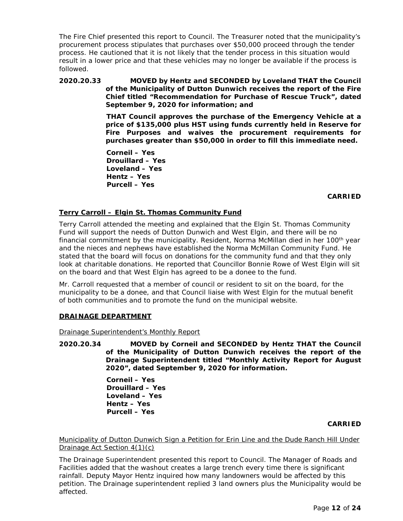The Fire Chief presented this report to Council. The Treasurer noted that the municipality's procurement process stipulates that purchases over \$50,000 proceed through the tender process. He cautioned that it is not likely that the tender process in this situation would result in a lower price and that these vehicles may no longer be available if the process is followed.

# **2020.20.33 MOVED by Hentz and SECONDED by Loveland THAT the Council of the Municipality of Dutton Dunwich receives the report of the Fire Chief titled "Recommendation for Purchase of Rescue Truck", dated September 9, 2020 for information; and**

**THAT Council approves the purchase of the Emergency Vehicle at a price of \$135,000 plus HST using funds currently held in Reserve for Fire Purposes and waives the procurement requirements for purchases greater than \$50,000 in order to fill this immediate need.**

**Corneil – Yes Drouillard – Yes Loveland – Yes Hentz – Yes Purcell – Yes** 

## **CARRIED**

# **Terry Carroll – Elgin St. Thomas Community Fund**

Terry Carroll attended the meeting and explained that the Elgin St. Thomas Community Fund will support the needs of Dutton Dunwich and West Elgin, and there will be no financial commitment by the municipality. Resident, Norma McMillan died in her 100<sup>th</sup> year and the nieces and nephews have established the Norma McMillan Community Fund. He stated that the board will focus on donations for the community fund and that they only look at charitable donations. He reported that Councillor Bonnie Rowe of West Elgin will sit on the board and that West Elgin has agreed to be a donee to the fund.

Mr. Carroll requested that a member of council or resident to sit on the board, for the municipality to be a donee, and that Council liaise with West Elgin for the mutual benefit of both communities and to promote the fund on the municipal website.

# **DRAINAGE DEPARTMENT**

Drainage Superintendent's Monthly Report

**2020.20.34 MOVED by Corneil and SECONDED by Hentz THAT the Council of the Municipality of Dutton Dunwich receives the report of the Drainage Superintendent titled "Monthly Activity Report for August 2020", dated September 9, 2020 for information.**

> **Corneil – Yes Drouillard – Yes Loveland – Yes Hentz – Yes Purcell – Yes**

## **CARRIED**

Municipality of Dutton Dunwich Sign a Petition for Erin Line and the Dude Ranch Hill Under Drainage Act Section 4(1)(c)

The Drainage Superintendent presented this report to Council. The Manager of Roads and Facilities added that the washout creates a large trench every time there is significant rainfall. Deputy Mayor Hentz inquired how many landowners would be affected by this petition. The Drainage superintendent replied 3 land owners plus the Municipality would be affected.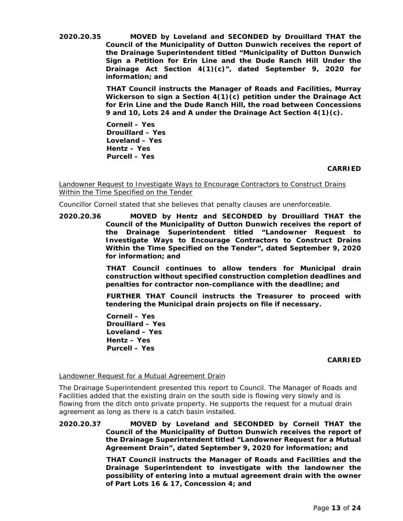**2020.20.35 MOVED by Loveland and SECONDED by Drouillard THAT the Council of the Municipality of Dutton Dunwich receives the report of the Drainage Superintendent titled "Municipality of Dutton Dunwich Sign a Petition for Erin Line and the Dude Ranch Hill Under the Drainage Act Section 4(1)(c)", dated September 9, 2020 for information; and**

> **THAT Council instructs the Manager of Roads and Facilities, Murray Wickerson to sign a Section 4(1)(c) petition under the Drainage Act for Erin Line and the Dude Ranch Hill, the road between Concessions 9 and 10, Lots 24 and A under the Drainage Act Section 4(1)(c).**

**Corneil – Yes Drouillard – Yes Loveland – Yes Hentz – Yes Purcell – Yes** 

## **CARRIED**

Landowner Request to Investigate Ways to Encourage Contractors to Construct Drains Within the Time Specified on the Tender

Councillor Corneil stated that she believes that penalty clauses are unenforceable.

**2020.20.36 MOVED by Hentz and SECONDED by Drouillard THAT the Council of the Municipality of Dutton Dunwich receives the report of the Drainage Superintendent titled "Landowner Request to Investigate Ways to Encourage Contractors to Construct Drains Within the Time Specified on the Tender", dated September 9, 2020 for information; and**

> **THAT Council continues to allow tenders for Municipal drain construction without specified construction completion deadlines and penalties for contractor non-compliance with the deadline; and**

> **FURTHER THAT Council instructs the Treasurer to proceed with tendering the Municipal drain projects on file if necessary.**

**Corneil – Yes Drouillard – Yes Loveland – Yes Hentz – Yes Purcell – Yes** 

#### **CARRIED**

# Landowner Request for a Mutual Agreement Drain

The Drainage Superintendent presented this report to Council. The Manager of Roads and Facilities added that the existing drain on the south side is flowing very slowly and is flowing from the ditch onto private property. He supports the request for a mutual drain agreement as long as there is a catch basin installed.

**2020.20.37 MOVED by Loveland and SECONDED by Corneil THAT the Council of the Municipality of Dutton Dunwich receives the report of the Drainage Superintendent titled "Landowner Request for a Mutual Agreement Drain", dated September 9, 2020 for information; and**

> **THAT Council instructs the Manager of Roads and Facilities and the Drainage Superintendent to investigate with the landowner the possibility of entering into a mutual agreement drain with the owner of Part Lots 16 & 17, Concession 4; and**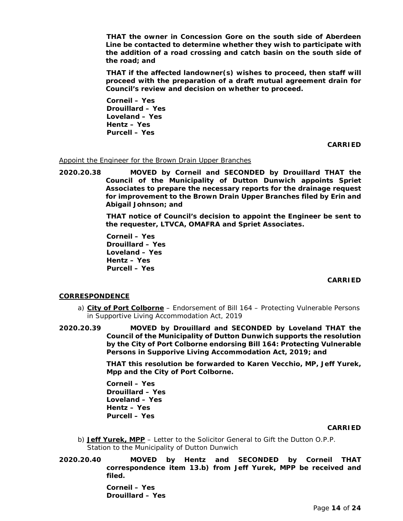**THAT the owner in Concession Gore on the south side of Aberdeen Line be contacted to determine whether they wish to participate with the addition of a road crossing and catch basin on the south side of the road; and**

**THAT if the affected landowner(s) wishes to proceed, then staff will proceed with the preparation of a draft mutual agreement drain for Council's review and decision on whether to proceed.** 

**Corneil – Yes Drouillard – Yes Loveland – Yes Hentz – Yes Purcell – Yes** 

**CARRIED**

Appoint the Engineer for the Brown Drain Upper Branches

**2020.20.38 MOVED by Corneil and SECONDED by Drouillard THAT the Council of the Municipality of Dutton Dunwich appoints Spriet Associates to prepare the necessary reports for the drainage request for improvement to the Brown Drain Upper Branches filed by Erin and Abigail Johnson; and**

> **THAT notice of Council's decision to appoint the Engineer be sent to the requester, LTVCA, OMAFRA and Spriet Associates.**

**Corneil – Yes Drouillard – Yes Loveland – Yes Hentz – Yes Purcell – Yes** 

## **CARRIED**

## **CORRESPONDENCE**

- a) **City of Port Colborne** Endorsement of Bill 164 Protecting Vulnerable Persons in Supportive Living Accommodation Act, 2019
- **2020.20.39 MOVED by Drouillard and SECONDED by Loveland THAT the Council of the Municipality of Dutton Dunwich supports the resolution by the City of Port Colborne endorsing Bill 164: Protecting Vulnerable Persons in Supporive Living Accommodation Act, 2019; and**

**THAT this resolution be forwarded to Karen Vecchio, MP, Jeff Yurek, Mpp and the City of Port Colborne.** 

**Corneil – Yes Drouillard – Yes Loveland – Yes Hentz – Yes Purcell – Yes** 

#### **CARRIED**

- b) **Jeff Yurek, MPP** Letter to the Solicitor General to Gift the Dutton O.P.P. Station to the Municipality of Dutton Dunwich
- **2020.20.40 MOVED by Hentz and SECONDED by Corneil THAT correspondence item 13.b) from Jeff Yurek, MPP be received and filed.**

**Corneil – Yes Drouillard – Yes**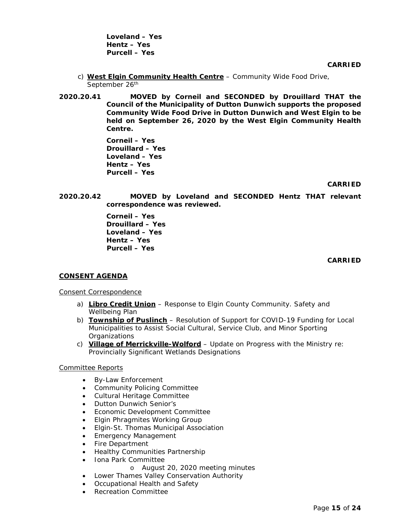**Loveland – Yes Hentz – Yes Purcell – Yes** 

**CARRIED**

- c) **West Elgin Community Health Centre** Community Wide Food Drive, September 26<sup>th</sup>
- **2020.20.41 MOVED by Corneil and SECONDED by Drouillard THAT the Council of the Municipality of Dutton Dunwich supports the proposed Community Wide Food Drive in Dutton Dunwich and West Elgin to be held on September 26, 2020 by the West Elgin Community Health Centre.**

**Corneil – Yes Drouillard – Yes Loveland – Yes Hentz – Yes Purcell – Yes** 

## **CARRIED**

**2020.20.42 MOVED by Loveland and SECONDED Hentz THAT relevant correspondence was reviewed.**

> **Corneil – Yes Drouillard – Yes Loveland – Yes Hentz – Yes Purcell – Yes**

## **CARRIED**

# **CONSENT AGENDA**

Consent Correspondence

- a) **Libro Credit Union** Response to Elgin County Community. Safety and Wellbeing Plan
- b) **Township of Puslinch** Resolution of Support for COVID-19 Funding for Local Municipalities to Assist Social Cultural, Service Club, and Minor Sporting **Organizations**
- c) **Village of Merrickville-Wolford** Update on Progress with the Ministry re: Provincially Significant Wetlands Designations

## Committee Reports

- By-Law Enforcement
- Community Policing Committee
- Cultural Heritage Committee
- Dutton Dunwich Senior's
- Economic Development Committee
- Elgin Phragmites Working Group
- Elgin-St. Thomas Municipal Association
- Emergency Management
- Fire Department
- Healthy Communities Partnership
- Iona Park Committee
	- o August 20, 2020 meeting minutes
- Lower Thames Valley Conservation Authority
- Occupational Health and Safety
- Recreation Committee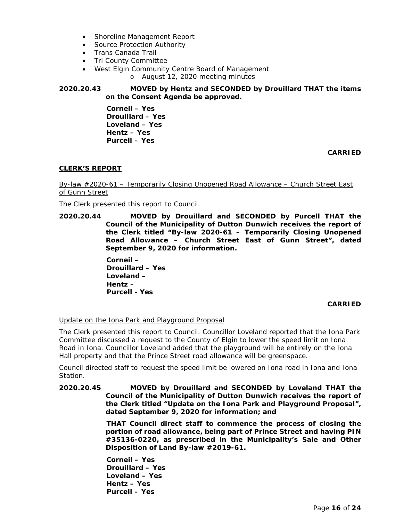- Shoreline Management Report
- Source Protection Authority
- Trans Canada Trail
- Tri County Committee
- West Elgin Community Centre Board of Management
	- o August 12, 2020 meeting minutes

# **2020.20.43 MOVED by Hentz and SECONDED by Drouillard THAT the items on the Consent Agenda be approved.**

**Corneil – Yes Drouillard – Yes Loveland – Yes Hentz – Yes Purcell – Yes** 

**CARRIED**

# **CLERK'S REPORT**

By-law #2020-61 – Temporarily Closing Unopened Road Allowance – Church Street East of Gunn Street

The Clerk presented this report to Council.

**2020.20.44 MOVED by Drouillard and SECONDED by Purcell THAT the Council of the Municipality of Dutton Dunwich receives the report of the Clerk titled "By-law 2020-61 – Temporarily Closing Unopened Road Allowance – Church Street East of Gunn Street", dated September 9, 2020 for information.** 

> **Corneil – Drouillard – Yes Loveland – Hentz – Purcell - Yes**

## **CARRIED**

## Update on the Iona Park and Playground Proposal

The Clerk presented this report to Council. Councillor Loveland reported that the Iona Park Committee discussed a request to the County of Elgin to lower the speed limit on Iona Road in Iona. Councillor Loveland added that the playground will be entirely on the Iona Hall property and that the Prince Street road allowance will be greenspace.

Council directed staff to request the speed limit be lowered on Iona road in Iona and Iona Station.

## **2020.20.45 MOVED by Drouillard and SECONDED by Loveland THAT the Council of the Municipality of Dutton Dunwich receives the report of the Clerk titled "Update on the Iona Park and Playground Proposal", dated September 9, 2020 for information; and**

**THAT Council direct staff to commence the process of closing the portion of road allowance, being part of Prince Street and having PIN #35136-0220, as prescribed in the Municipality's Sale and Other Disposition of Land By-law #2019-61.**

**Corneil – Yes Drouillard – Yes Loveland – Yes Hentz – Yes Purcell – Yes**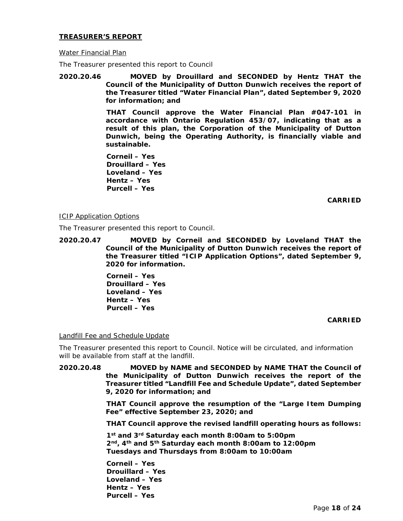## **TREASURER'S REPORT**

### Water Financial Plan

The Treasurer presented this report to Council

**2020.20.46 MOVED by Drouillard and SECONDED by Hentz THAT the Council of the Municipality of Dutton Dunwich receives the report of the Treasurer titled "Water Financial Plan", dated September 9, 2020 for information; and**

> **THAT Council approve the Water Financial Plan #047-101 in accordance with Ontario Regulation 453/07, indicating that as a result of this plan, the Corporation of the Municipality of Dutton Dunwich, being the Operating Authority, is financially viable and sustainable.**

**Corneil – Yes Drouillard – Yes Loveland – Yes Hentz – Yes Purcell – Yes** 

**CARRIED**

## ICIP Application Options

The Treasurer presented this report to Council.

**2020.20.47 MOVED by Corneil and SECONDED by Loveland THAT the Council of the Municipality of Dutton Dunwich receives the report of the Treasurer titled "ICIP Application Options", dated September 9, 2020 for information.** 

> **Corneil – Yes Drouillard – Yes Loveland – Yes Hentz – Yes Purcell – Yes**

## **CARRIED**

## Landfill Fee and Schedule Update

The Treasurer presented this report to Council. Notice will be circulated, and information will be available from staff at the landfill.

**2020.20.48 MOVED by NAME and SECONDED by NAME THAT the Council of the Municipality of Dutton Dunwich receives the report of the Treasurer titled "Landfill Fee and Schedule Update", dated September 9, 2020 for information; and**

> **THAT Council approve the resumption of the "Large Item Dumping Fee" effective September 23, 2020; and**

> **THAT Council approve the revised landfill operating hours as follows:**

**1st and 3rd Saturday each month 8:00am to 5:00pm 2nd, 4th and 5th Saturday each month 8:00am to 12:00pm Tuesdays and Thursdays from 8:00am to 10:00am**

**Corneil – Yes Drouillard – Yes Loveland – Yes Hentz – Yes Purcell – Yes**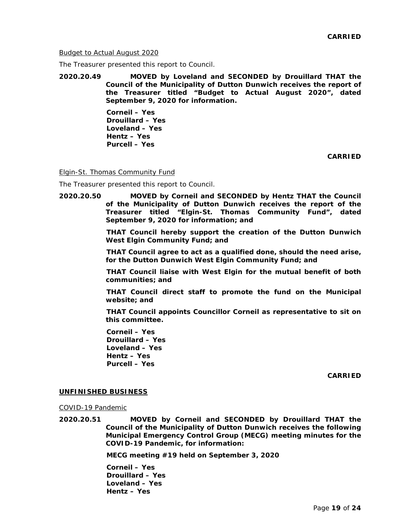Budget to Actual August 2020

The Treasurer presented this report to Council.

**2020.20.49 MOVED by Loveland and SECONDED by Drouillard THAT the Council of the Municipality of Dutton Dunwich receives the report of the Treasurer titled "Budget to Actual August 2020", dated September 9, 2020 for information.**

> **Corneil – Yes Drouillard – Yes Loveland – Yes Hentz – Yes Purcell – Yes**

> > **CARRIED**

Elgin-St. Thomas Community Fund

The Treasurer presented this report to Council.

**2020.20.50 MOVED by Corneil and SECONDED by Hentz THAT the Council of the Municipality of Dutton Dunwich receives the report of the Treasurer titled "Elgin-St. Thomas Community Fund", dated September 9, 2020 for information; and**

> **THAT Council hereby support the creation of the Dutton Dunwich West Elgin Community Fund; and**

> **THAT Council agree to act as a qualified done, should the need arise, for the Dutton Dunwich West Elgin Community Fund; and**

> **THAT Council liaise with West Elgin for the mutual benefit of both communities; and**

> **THAT Council direct staff to promote the fund on the Municipal website; and**

> **THAT Council appoints Councillor Corneil as representative to sit on this committee.**

**Corneil – Yes Drouillard – Yes Loveland – Yes Hentz – Yes Purcell – Yes** 

**CARRIED**

#### **UNFINISHED BUSINESS**

COVID-19 Pandemic

**2020.20.51 MOVED by Corneil and SECONDED by Drouillard THAT the Council of the Municipality of Dutton Dunwich receives the following Municipal Emergency Control Group (MECG) meeting minutes for the COVID-19 Pandemic, for information:**

**MECG meeting #19 held on September 3, 2020**

**Corneil – Yes Drouillard – Yes Loveland – Yes Hentz – Yes**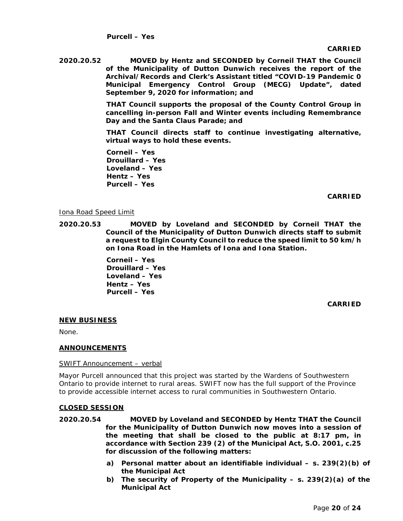**CARRIED**

**2020.20.52 MOVED by Hentz and SECONDED by Corneil THAT the Council of the Municipality of Dutton Dunwich receives the report of the Archival/Records and Clerk's Assistant titled "COVID-19 Pandemic 0 Municipal Emergency Control Group (MECG) Update", dated September 9, 2020 for information; and**

> **THAT Council supports the proposal of the County Control Group in cancelling in-person Fall and Winter events including Remembrance Day and the Santa Claus Parade; and**

> **THAT Council directs staff to continue investigating alternative, virtual ways to hold these events.**

**Corneil – Yes Drouillard – Yes Loveland – Yes Hentz – Yes Purcell – Yes** 

**CARRIED**

## Iona Road Speed Limit

**2020.20.53 MOVED by Loveland and SECONDED by Corneil THAT the Council of the Municipality of Dutton Dunwich directs staff to submit a request to Elgin County Council to reduce the speed limit to 50 km/h on Iona Road in the Hamlets of Iona and Iona Station.**

> **Corneil – Yes Drouillard – Yes Loveland – Yes Hentz – Yes Purcell – Yes**

> > **CARRIED**

# **NEW BUSINESS**

None.

## **ANNOUNCEMENTS**

## SWIFT Announcement – verbal

Mayor Purcell announced that this project was started by the Wardens of Southwestern Ontario to provide internet to rural areas. SWIFT now has the full support of the Province to provide accessible internet access to rural communities in Southwestern Ontario.

## **CLOSED SESSION**

- **2020.20.54 MOVED by Loveland and SECONDED by Hentz THAT the Council for the Municipality of Dutton Dunwich now moves into a session of the meeting that shall be closed to the public at 8:17 pm, in accordance with Section 239 (2) of the Municipal Act, S.O. 2001, c.25 for discussion of the following matters:**
	- **a) Personal matter about an identifiable individual – s. 239(2)(b) of the Municipal Act**
	- **b) The security of Property of the Municipality – s. 239(2)(a) of the Municipal Act**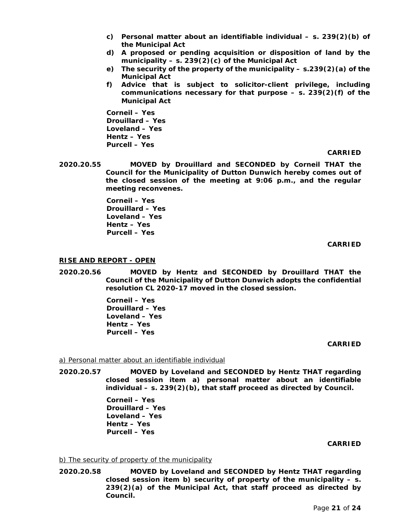- **c) Personal matter about an identifiable individual – s. 239(2)(b) of the Municipal Act**
- **d) A proposed or pending acquisition or disposition of land by the municipality – s. 239(2)(c) of the Municipal Act**
- **e) The security of the property of the municipality – s.239(2)(a) of the Municipal Act**
- **f) Advice that is subject to solicitor-client privilege, including communications necessary for that purpose – s. 239(2)(f) of the Municipal Act**

**Corneil – Yes Drouillard – Yes Loveland – Yes Hentz – Yes Purcell – Yes** 

## **CARRIED**

**2020.20.55 MOVED by Drouillard and SECONDED by Corneil THAT the Council for the Municipality of Dutton Dunwich hereby comes out of the closed session of the meeting at 9:06 p.m., and the regular meeting reconvenes.**

> **Corneil – Yes Drouillard – Yes Loveland – Yes Hentz – Yes Purcell – Yes**

## **CARRIED**

## **RISE AND REPORT - OPEN**

**2020.20.56 MOVED by Hentz and SECONDED by Drouillard THAT the Council of the Municipality of Dutton Dunwich adopts the confidential resolution CL 2020-17 moved in the closed session.** 

> **Corneil – Yes Drouillard – Yes Loveland – Yes Hentz – Yes Purcell – Yes**

## **CARRIED**

## a) Personal matter about an identifiable individual

**2020.20.57 MOVED by Loveland and SECONDED by Hentz THAT regarding closed session item a) personal matter about an identifiable individual – s. 239(2)(b), that staff proceed as directed by Council.**

> **Corneil – Yes Drouillard – Yes Loveland – Yes Hentz – Yes Purcell – Yes**

#### **CARRIED**

## b) The security of property of the municipality

**2020.20.58 MOVED by Loveland and SECONDED by Hentz THAT regarding closed session item b) security of property of the municipality – s. 239(2)(a) of the Municipal Act, that staff proceed as directed by Council.**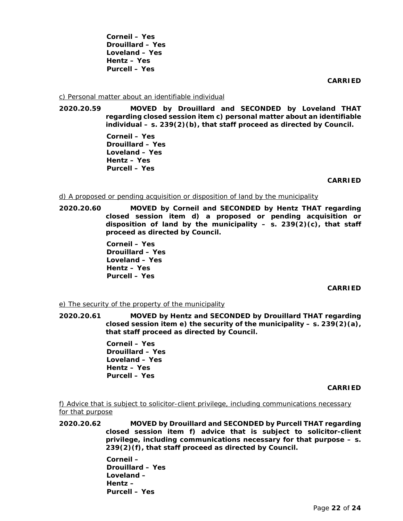**Corneil – Yes Drouillard – Yes Loveland – Yes Hentz – Yes Purcell – Yes** 

**CARRIED**

### c) Personal matter about an identifiable individual

**2020.20.59 MOVED by Drouillard and SECONDED by Loveland THAT regarding closed session item c) personal matter about an identifiable individual – s. 239(2)(b), that staff proceed as directed by Council.** 

> **Corneil – Yes Drouillard – Yes Loveland – Yes Hentz – Yes Purcell – Yes**

> > **CARRIED**

### d) A proposed or pending acquisition or disposition of land by the municipality

**2020.20.60 MOVED by Corneil and SECONDED by Hentz THAT regarding closed session item d) a proposed or pending acquisition or disposition of land by the municipality – s. 239(2)(c), that staff proceed as directed by Council.** 

> **Corneil – Yes Drouillard – Yes Loveland – Yes Hentz – Yes Purcell – Yes**

> > **CARRIED**

## e) The security of the property of the municipality

**2020.20.61 MOVED by Hentz and SECONDED by Drouillard THAT regarding closed session item e) the security of the municipality – s. 239(2)(a), that staff proceed as directed by Council.** 

> **Corneil – Yes Drouillard – Yes Loveland – Yes Hentz – Yes Purcell – Yes**

#### **CARRIED**

f) Advice that is subject to solicitor-client privilege, including communications necessary for that purpose

**2020.20.62 MOVED by Drouillard and SECONDED by Purcell THAT regarding closed session item f) advice that is subject to solicitor-client privilege, including communications necessary for that purpose – s. 239(2)(f), that staff proceed as directed by Council.** 

> **Corneil – Drouillard – Yes Loveland – Hentz – Purcell – Yes**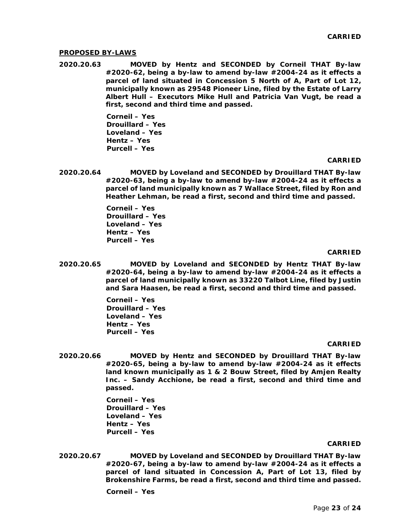### **PROPOSED BY-LAWS**

**2020.20.63 MOVED by Hentz and SECONDED by Corneil THAT By-law #2020-62, being a by-law to amend by-law #2004-24 as it effects a parcel of land situated in Concession 5 North of A, Part of Lot 12, municipally known as 29548 Pioneer Line, filed by the Estate of Larry Albert Hull – Executors Mike Hull and Patricia Van Vugt, be read a first, second and third time and passed.**

> **Corneil – Yes Drouillard – Yes Loveland – Yes Hentz – Yes Purcell – Yes**

#### **CARRIED**

**2020.20.64 MOVED by Loveland and SECONDED by Drouillard THAT By-law #2020-63, being a by-law to amend by-law #2004-24 as it effects a parcel of land municipally known as 7 Wallace Street, filed by Ron and Heather Lehman, be read a first, second and third time and passed.**

> **Corneil – Yes Drouillard – Yes Loveland – Yes Hentz – Yes Purcell – Yes**

#### **CARRIED**

**2020.20.65 MOVED by Loveland and SECONDED by Hentz THAT By-law #2020-64, being a by-law to amend by-law #2004-24 as it effects a parcel of land municipally known as 33220 Talbot Line, filed by Justin and Sara Haasen, be read a first, second and third time and passed.**

> **Corneil – Yes Drouillard – Yes Loveland – Yes Hentz – Yes Purcell – Yes**

#### **CARRIED**

**2020.20.66 MOVED by Hentz and SECONDED by Drouillard THAT By-law #2020-65, being a by-law to amend by-law #2004-24 as it effects land known municipally as 1 & 2 Bouw Street, filed by Amjen Realty Inc. – Sandy Acchione, be read a first, second and third time and passed.** 

> **Corneil – Yes Drouillard – Yes Loveland – Yes Hentz – Yes Purcell – Yes**

#### **CARRIED**

**2020.20.67 MOVED by Loveland and SECONDED by Drouillard THAT By-law #2020-67, being a by-law to amend by-law #2004-24 as it effects a parcel of land situated in Concession A, Part of Lot 13, filed by Brokenshire Farms, be read a first, second and third time and passed.** 

**Corneil – Yes**